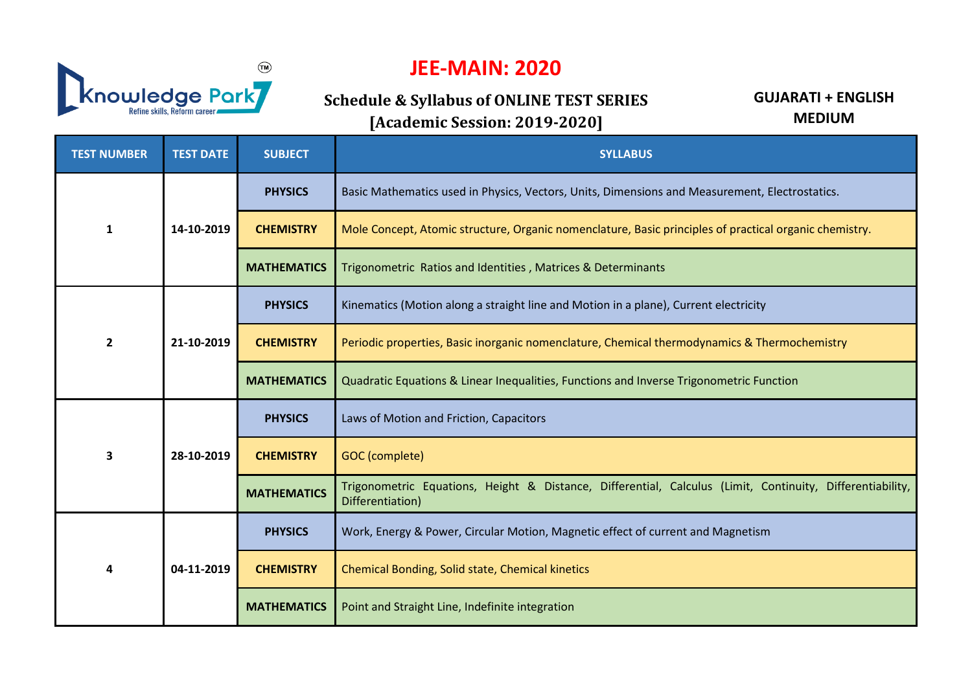

## **JEE-MAIN: 2020**

**Schedule & Syllabus of ONLINE TEST SERIES [Academic Session: 2019-2020]**

**GUJARATI + ENGLISH MEDIUM**

| <b>TEST NUMBER</b>      | <b>TEST DATE</b> | <b>SUBJECT</b>     | <b>SYLLABUS</b>                                                                                                               |
|-------------------------|------------------|--------------------|-------------------------------------------------------------------------------------------------------------------------------|
| $\mathbf{1}$            | 14-10-2019       | <b>PHYSICS</b>     | Basic Mathematics used in Physics, Vectors, Units, Dimensions and Measurement, Electrostatics.                                |
|                         |                  | <b>CHEMISTRY</b>   | Mole Concept, Atomic structure, Organic nomenclature, Basic principles of practical organic chemistry.                        |
|                         |                  | <b>MATHEMATICS</b> | Trigonometric Ratios and Identities, Matrices & Determinants                                                                  |
| $\overline{2}$          | 21-10-2019       | <b>PHYSICS</b>     | Kinematics (Motion along a straight line and Motion in a plane), Current electricity                                          |
|                         |                  | <b>CHEMISTRY</b>   | Periodic properties, Basic inorganic nomenclature, Chemical thermodynamics & Thermochemistry                                  |
|                         |                  | <b>MATHEMATICS</b> | Quadratic Equations & Linear Inequalities, Functions and Inverse Trigonometric Function                                       |
| $\overline{\mathbf{3}}$ | 28-10-2019       | <b>PHYSICS</b>     | Laws of Motion and Friction, Capacitors                                                                                       |
|                         |                  | <b>CHEMISTRY</b>   | GOC (complete)                                                                                                                |
|                         |                  | <b>MATHEMATICS</b> | Trigonometric Equations, Height & Distance, Differential, Calculus (Limit, Continuity, Differentiability,<br>Differentiation) |
| Δ                       | 04-11-2019       | <b>PHYSICS</b>     | Work, Energy & Power, Circular Motion, Magnetic effect of current and Magnetism                                               |
|                         |                  | <b>CHEMISTRY</b>   | Chemical Bonding, Solid state, Chemical kinetics                                                                              |
|                         |                  | <b>MATHEMATICS</b> | Point and Straight Line, Indefinite integration                                                                               |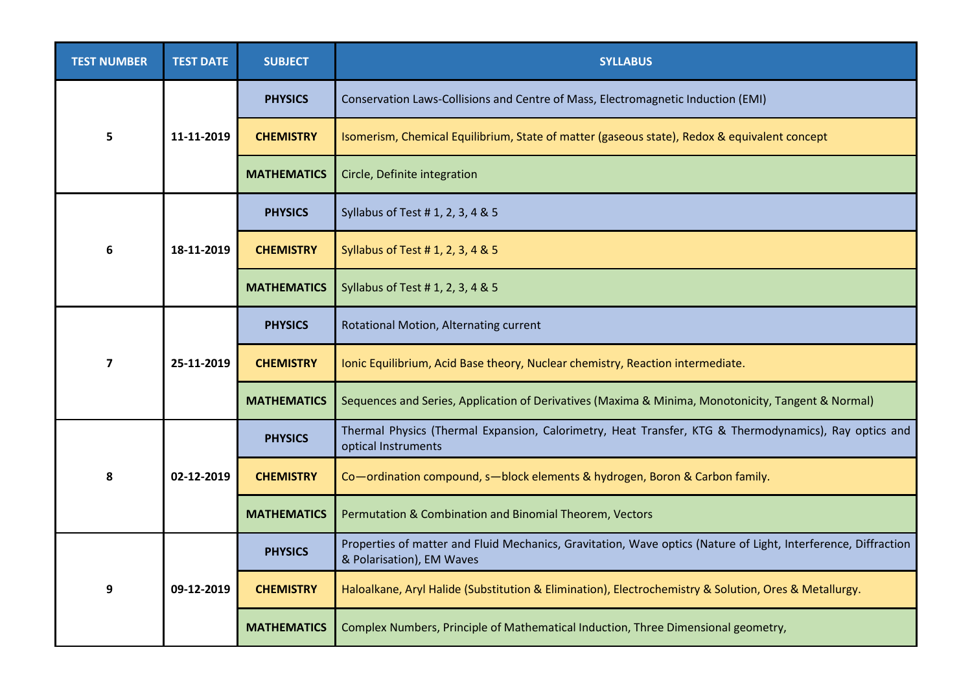| <b>TEST NUMBER</b>      | <b>TEST DATE</b> | <b>SUBJECT</b>     | <b>SYLLABUS</b>                                                                                                                             |
|-------------------------|------------------|--------------------|---------------------------------------------------------------------------------------------------------------------------------------------|
| 5                       | 11-11-2019       | <b>PHYSICS</b>     | Conservation Laws-Collisions and Centre of Mass, Electromagnetic Induction (EMI)                                                            |
|                         |                  | <b>CHEMISTRY</b>   | Isomerism, Chemical Equilibrium, State of matter (gaseous state), Redox & equivalent concept                                                |
|                         |                  | <b>MATHEMATICS</b> | Circle, Definite integration                                                                                                                |
| 6                       | 18-11-2019       | <b>PHYSICS</b>     | Syllabus of Test # 1, 2, 3, 4 & 5                                                                                                           |
|                         |                  | <b>CHEMISTRY</b>   | Syllabus of Test # 1, 2, 3, 4 & 5                                                                                                           |
|                         |                  | <b>MATHEMATICS</b> | Syllabus of Test # 1, 2, 3, 4 & 5                                                                                                           |
| $\overline{\mathbf{z}}$ | 25-11-2019       | <b>PHYSICS</b>     | Rotational Motion, Alternating current                                                                                                      |
|                         |                  | <b>CHEMISTRY</b>   | Ionic Equilibrium, Acid Base theory, Nuclear chemistry, Reaction intermediate.                                                              |
|                         |                  | <b>MATHEMATICS</b> | Sequences and Series, Application of Derivatives (Maxima & Minima, Monotonicity, Tangent & Normal)                                          |
| 8                       | 02-12-2019       | <b>PHYSICS</b>     | Thermal Physics (Thermal Expansion, Calorimetry, Heat Transfer, KTG & Thermodynamics), Ray optics and<br>optical Instruments                |
|                         |                  | <b>CHEMISTRY</b>   | Co-ordination compound, s-block elements & hydrogen, Boron & Carbon family.                                                                 |
|                         |                  | <b>MATHEMATICS</b> | Permutation & Combination and Binomial Theorem, Vectors                                                                                     |
| 9                       | 09-12-2019       | <b>PHYSICS</b>     | Properties of matter and Fluid Mechanics, Gravitation, Wave optics (Nature of Light, Interference, Diffraction<br>& Polarisation), EM Waves |
|                         |                  | <b>CHEMISTRY</b>   | Haloalkane, Aryl Halide (Substitution & Elimination), Electrochemistry & Solution, Ores & Metallurgy.                                       |
|                         |                  | <b>MATHEMATICS</b> | Complex Numbers, Principle of Mathematical Induction, Three Dimensional geometry,                                                           |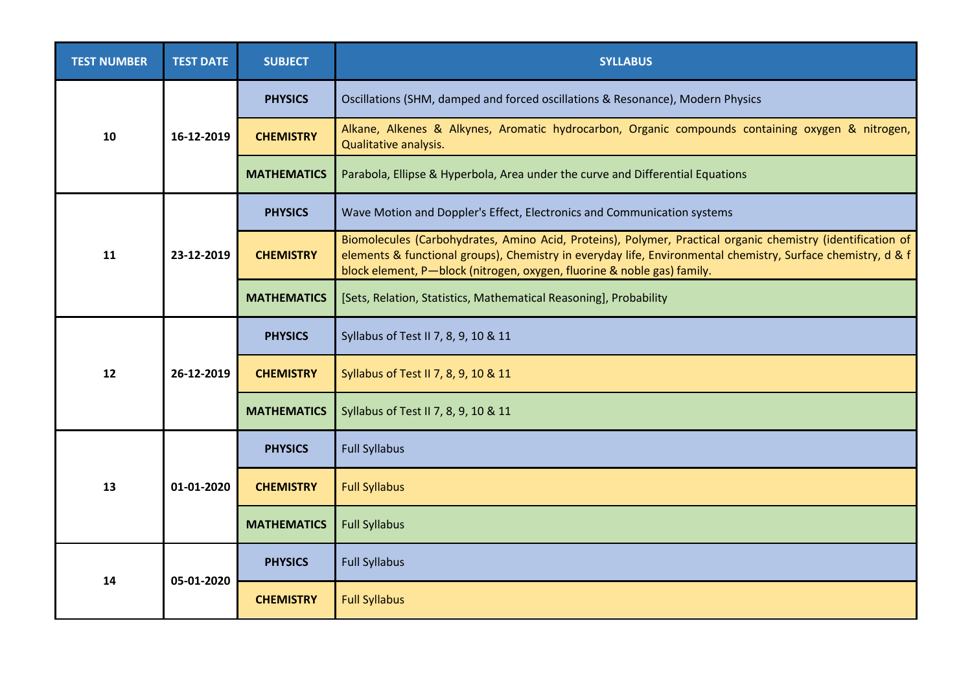| <b>TEST NUMBER</b> | <b>TEST DATE</b> | <b>SUBJECT</b>     | <b>SYLLABUS</b>                                                                                                                                                                                                                                                                                        |
|--------------------|------------------|--------------------|--------------------------------------------------------------------------------------------------------------------------------------------------------------------------------------------------------------------------------------------------------------------------------------------------------|
| 10                 | 16-12-2019       | <b>PHYSICS</b>     | Oscillations (SHM, damped and forced oscillations & Resonance), Modern Physics                                                                                                                                                                                                                         |
|                    |                  | <b>CHEMISTRY</b>   | Alkane, Alkenes & Alkynes, Aromatic hydrocarbon, Organic compounds containing oxygen & nitrogen,<br>Qualitative analysis.                                                                                                                                                                              |
|                    |                  | <b>MATHEMATICS</b> | Parabola, Ellipse & Hyperbola, Area under the curve and Differential Equations                                                                                                                                                                                                                         |
| 11                 | 23-12-2019       | <b>PHYSICS</b>     | Wave Motion and Doppler's Effect, Electronics and Communication systems                                                                                                                                                                                                                                |
|                    |                  | <b>CHEMISTRY</b>   | Biomolecules (Carbohydrates, Amino Acid, Proteins), Polymer, Practical organic chemistry (identification of<br>elements & functional groups), Chemistry in everyday life, Environmental chemistry, Surface chemistry, d & f<br>block element, P-block (nitrogen, oxygen, fluorine & noble gas) family. |
|                    |                  | <b>MATHEMATICS</b> | [Sets, Relation, Statistics, Mathematical Reasoning], Probability                                                                                                                                                                                                                                      |
| 12                 | 26-12-2019       | <b>PHYSICS</b>     | Syllabus of Test II 7, 8, 9, 10 & 11                                                                                                                                                                                                                                                                   |
|                    |                  | <b>CHEMISTRY</b>   | Syllabus of Test II 7, 8, 9, 10 & 11                                                                                                                                                                                                                                                                   |
|                    |                  | <b>MATHEMATICS</b> | Syllabus of Test II 7, 8, 9, 10 & 11                                                                                                                                                                                                                                                                   |
| 13                 | 01-01-2020       | <b>PHYSICS</b>     | <b>Full Syllabus</b>                                                                                                                                                                                                                                                                                   |
|                    |                  | <b>CHEMISTRY</b>   | <b>Full Syllabus</b>                                                                                                                                                                                                                                                                                   |
|                    |                  | <b>MATHEMATICS</b> | <b>Full Syllabus</b>                                                                                                                                                                                                                                                                                   |
| 14                 | 05-01-2020       | <b>PHYSICS</b>     | <b>Full Syllabus</b>                                                                                                                                                                                                                                                                                   |
|                    |                  | <b>CHEMISTRY</b>   | <b>Full Syllabus</b>                                                                                                                                                                                                                                                                                   |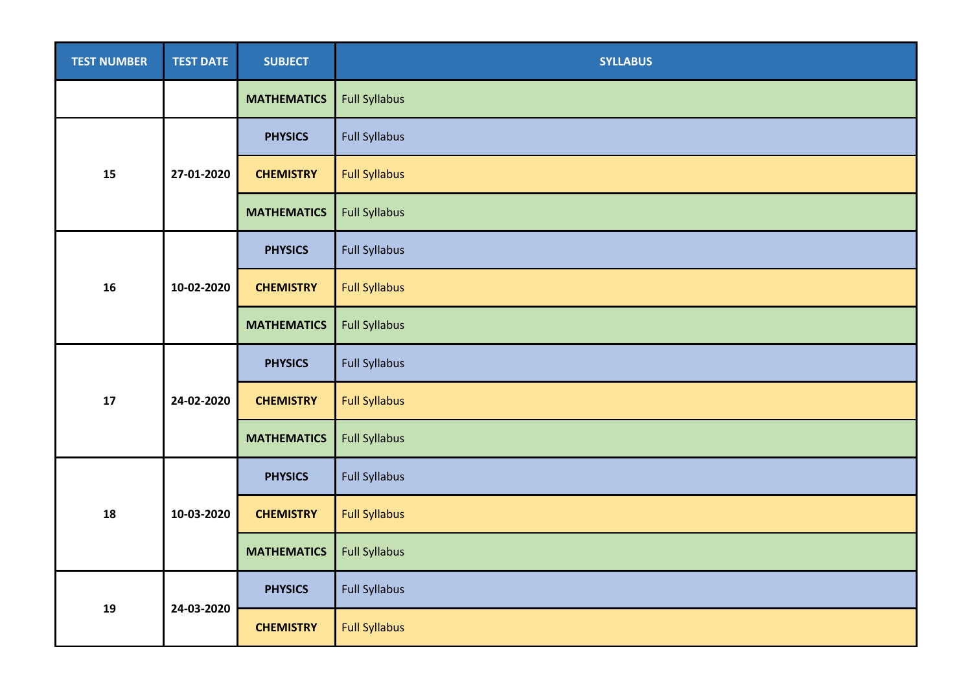| <b>TEST NUMBER</b> | <b>TEST DATE</b> | <b>SUBJECT</b>     | <b>SYLLABUS</b>      |
|--------------------|------------------|--------------------|----------------------|
|                    |                  | <b>MATHEMATICS</b> | <b>Full Syllabus</b> |
| 15                 | 27-01-2020       | <b>PHYSICS</b>     | <b>Full Syllabus</b> |
|                    |                  | <b>CHEMISTRY</b>   | <b>Full Syllabus</b> |
|                    |                  | <b>MATHEMATICS</b> | <b>Full Syllabus</b> |
| 16                 | 10-02-2020       | <b>PHYSICS</b>     | <b>Full Syllabus</b> |
|                    |                  | <b>CHEMISTRY</b>   | <b>Full Syllabus</b> |
|                    |                  | <b>MATHEMATICS</b> | <b>Full Syllabus</b> |
|                    | 24-02-2020       | <b>PHYSICS</b>     | <b>Full Syllabus</b> |
| 17                 |                  | <b>CHEMISTRY</b>   | <b>Full Syllabus</b> |
|                    |                  | <b>MATHEMATICS</b> | <b>Full Syllabus</b> |
| 18                 | 10-03-2020       | <b>PHYSICS</b>     | <b>Full Syllabus</b> |
|                    |                  | <b>CHEMISTRY</b>   | <b>Full Syllabus</b> |
|                    |                  | <b>MATHEMATICS</b> | <b>Full Syllabus</b> |
| 19                 | 24-03-2020       | <b>PHYSICS</b>     | <b>Full Syllabus</b> |
|                    |                  | <b>CHEMISTRY</b>   | <b>Full Syllabus</b> |